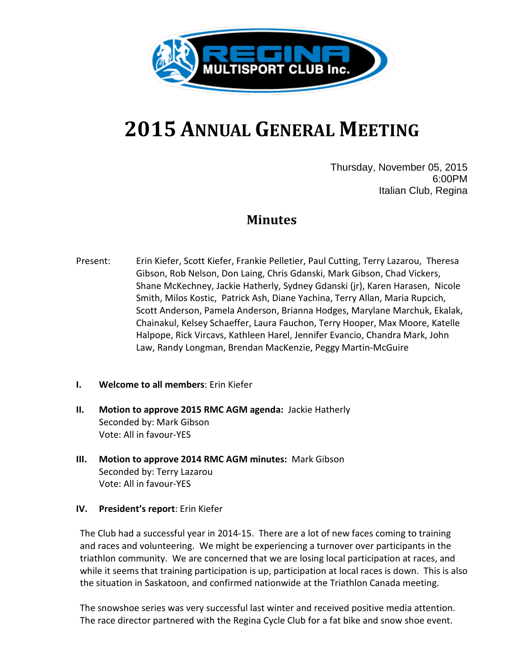

# **2015 ANNUAL GENERAL MEETING**

Thursday, November 05, 2015 6:00PM Italian Club, Regina

### **Minutes**

- Present: Erin Kiefer, Scott Kiefer, Frankie Pelletier, Paul Cutting, Terry Lazarou, Theresa Gibson, Rob Nelson, Don Laing, Chris Gdanski, Mark Gibson, Chad Vickers, Shane McKechney, Jackie Hatherly, Sydney Gdanski (jr), Karen Harasen, Nicole Smith, Milos Kostic, Patrick Ash, Diane Yachina, Terry Allan, Maria Rupcich, Scott Anderson, Pamela Anderson, Brianna Hodges, Marylane Marchuk, Ekalak, Chainakul, Kelsey Schaeffer, Laura Fauchon, Terry Hooper, Max Moore, Katelle Halpope, Rick Vircavs, Kathleen Harel, Jennifer Evancio, Chandra Mark, John Law, Randy Longman, Brendan MacKenzie, Peggy Martin-McGuire
- **I. Welcome to all members**: Erin Kiefer
- **II. Motion to approve 2015 RMC AGM agenda:** Jackie Hatherly Seconded by: Mark Gibson Vote: All in favour-YES
- **III. Motion to approve 2014 RMC AGM minutes:** Mark Gibson Seconded by: Terry Lazarou Vote: All in favour-YES

### **IV. President's report**: Erin Kiefer

The Club had a successful year in 2014-15. There are a lot of new faces coming to training and races and volunteering. We might be experiencing a turnover over participants in the triathlon community. We are concerned that we are losing local participation at races, and while it seems that training participation is up, participation at local races is down. This is also the situation in Saskatoon, and confirmed nationwide at the Triathlon Canada meeting.

The snowshoe series was very successful last winter and received positive media attention. The race director partnered with the Regina Cycle Club for a fat bike and snow shoe event.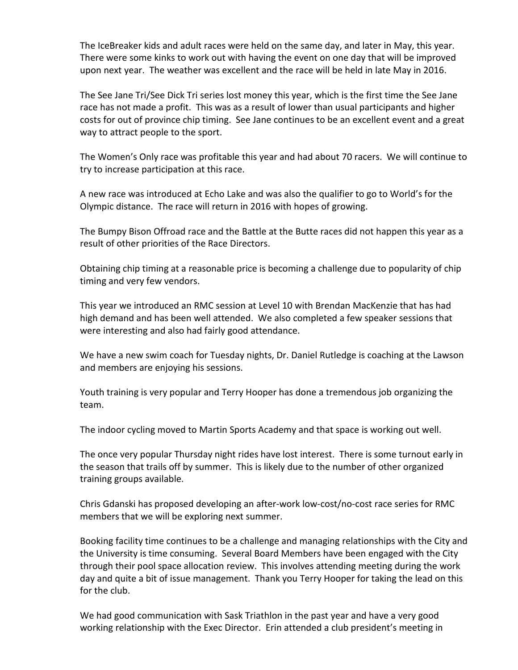The IceBreaker kids and adult races were held on the same day, and later in May, this year. There were some kinks to work out with having the event on one day that will be improved upon next year. The weather was excellent and the race will be held in late May in 2016.

The See Jane Tri/See Dick Tri series lost money this year, which is the first time the See Jane race has not made a profit. This was as a result of lower than usual participants and higher costs for out of province chip timing. See Jane continues to be an excellent event and a great way to attract people to the sport.

The Women's Only race was profitable this year and had about 70 racers. We will continue to try to increase participation at this race.

A new race was introduced at Echo Lake and was also the qualifier to go to World's for the Olympic distance. The race will return in 2016 with hopes of growing.

The Bumpy Bison Offroad race and the Battle at the Butte races did not happen this year as a result of other priorities of the Race Directors.

Obtaining chip timing at a reasonable price is becoming a challenge due to popularity of chip timing and very few vendors.

This year we introduced an RMC session at Level 10 with Brendan MacKenzie that has had high demand and has been well attended. We also completed a few speaker sessions that were interesting and also had fairly good attendance.

We have a new swim coach for Tuesday nights, Dr. Daniel Rutledge is coaching at the Lawson and members are enjoying his sessions.

Youth training is very popular and Terry Hooper has done a tremendous job organizing the team.

The indoor cycling moved to Martin Sports Academy and that space is working out well.

The once very popular Thursday night rides have lost interest. There is some turnout early in the season that trails off by summer. This is likely due to the number of other organized training groups available.

Chris Gdanski has proposed developing an after-work low-cost/no-cost race series for RMC members that we will be exploring next summer.

Booking facility time continues to be a challenge and managing relationships with the City and the University is time consuming. Several Board Members have been engaged with the City through their pool space allocation review. This involves attending meeting during the work day and quite a bit of issue management. Thank you Terry Hooper for taking the lead on this for the club.

We had good communication with Sask Triathlon in the past year and have a very good working relationship with the Exec Director. Erin attended a club president's meeting in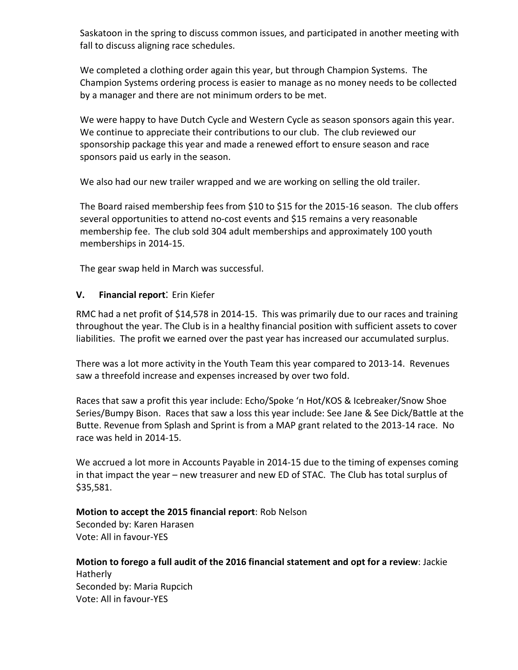Saskatoon in the spring to discuss common issues, and participated in another meeting with fall to discuss aligning race schedules.

We completed a clothing order again this year, but through Champion Systems. The Champion Systems ordering process is easier to manage as no money needs to be collected by a manager and there are not minimum orders to be met.

We were happy to have Dutch Cycle and Western Cycle as season sponsors again this year. We continue to appreciate their contributions to our club. The club reviewed our sponsorship package this year and made a renewed effort to ensure season and race sponsors paid us early in the season.

We also had our new trailer wrapped and we are working on selling the old trailer.

The Board raised membership fees from \$10 to \$15 for the 2015-16 season. The club offers several opportunities to attend no-cost events and \$15 remains a very reasonable membership fee. The club sold 304 adult memberships and approximately 100 youth memberships in 2014-15.

The gear swap held in March was successful.

### **V. Financial report**: Erin Kiefer

RMC had a net profit of \$14,578 in 2014-15. This was primarily due to our races and training throughout the year. The Club is in a healthy financial position with sufficient assets to cover liabilities. The profit we earned over the past year has increased our accumulated surplus.

There was a lot more activity in the Youth Team this year compared to 2013-14. Revenues saw a threefold increase and expenses increased by over two fold.

Races that saw a profit this year include: Echo/Spoke 'n Hot/KOS & Icebreaker/Snow Shoe Series/Bumpy Bison. Races that saw a loss this year include: See Jane & See Dick/Battle at the Butte. Revenue from Splash and Sprint is from a MAP grant related to the 2013-14 race. No race was held in 2014-15.

We accrued a lot more in Accounts Payable in 2014-15 due to the timing of expenses coming in that impact the year – new treasurer and new ED of STAC. The Club has total surplus of \$35,581.

## **Motion to accept the 2015 financial report**: Rob Nelson

Seconded by: Karen Harasen Vote: All in favour-YES

**Motion to forego a full audit of the 2016 financial statement and opt for a review**: Jackie Hatherly Seconded by: Maria Rupcich Vote: All in favour-YES